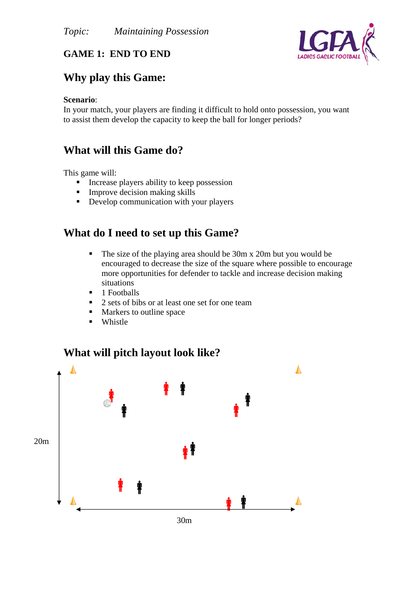

### **GAME 1: END TO END**

## **Why play this Game:**

#### **Scenario**:

In your match, your players are finding it difficult to hold onto possession, you want to assist them develop the capacity to keep the ball for longer periods?

### **What will this Game do?**

This game will:

- $\blacksquare$  Increase players ability to keep possession
- $\blacksquare$  Improve decision making skills
- Develop communication with your players

## **What do I need to set up this Game?**

- The size of the playing area should be 30m x 20m but you would be encouraged to decrease the size of the square where possible to encourage more opportunities for defender to tackle and increase decision making situations
- $\blacksquare$  1 Footballs
- 2 sets of bibs or at least one set for one team
- Markers to outline space
- **Whistle**

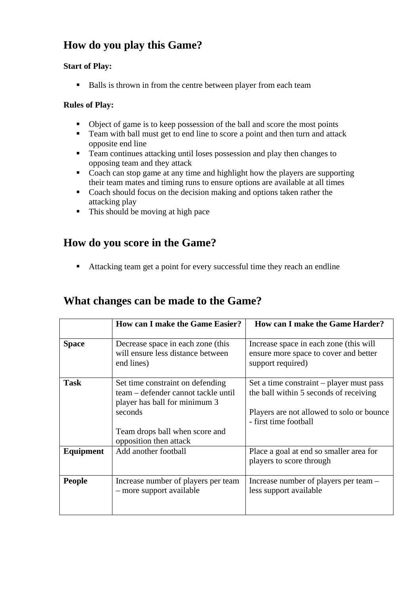# **How do you play this Game?**

#### **Start of Play:**

Balls is thrown in from the centre between player from each team

#### **Rules of Play:**

- Object of game is to keep possession of the ball and score the most points
- Team with ball must get to end line to score a point and then turn and attack opposite end line
- Team continues attacking until loses possession and play then changes to opposing team and they attack
- Coach can stop game at any time and highlight how the players are supporting their team mates and timing runs to ensure options are available at all times
- Coach should focus on the decision making and options taken rather the attacking play
- This should be moving at high pace

# **How do you score in the Game?**

Attacking team get a point for every successful time they reach an endline

### **What changes can be made to the Game?**

|                  | <b>How can I make the Game Easier?</b>                                                                                                                | <b>How can I make the Game Harder?</b>                                                                                                                   |
|------------------|-------------------------------------------------------------------------------------------------------------------------------------------------------|----------------------------------------------------------------------------------------------------------------------------------------------------------|
| <b>Space</b>     | Decrease space in each zone (this<br>will ensure less distance between<br>end lines)                                                                  | Increase space in each zone (this will<br>ensure more space to cover and better<br>support required)                                                     |
| <b>Task</b>      | Set time constraint on defending<br>team – defender cannot tackle until<br>player has ball for minimum 3<br>seconds<br>Team drops ball when score and | Set a time constraint – player must pass<br>the ball within 5 seconds of receiving<br>Players are not allowed to solo or bounce<br>- first time football |
| <b>Equipment</b> | opposition then attack<br>Add another football                                                                                                        | Place a goal at end so smaller area for<br>players to score through                                                                                      |
| <b>People</b>    | Increase number of players per team<br>- more support available                                                                                       | Increase number of players per team –<br>less support available                                                                                          |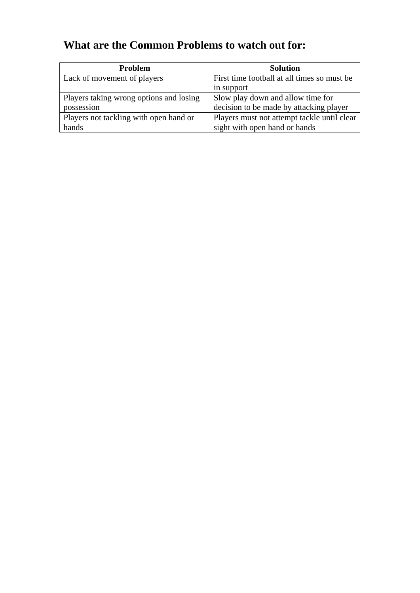# **What are the Common Problems to watch out for:**

| <b>Problem</b>                          | <b>Solution</b>                             |
|-----------------------------------------|---------------------------------------------|
| Lack of movement of players             | First time football at all times so must be |
|                                         | in support                                  |
| Players taking wrong options and losing | Slow play down and allow time for           |
| possession                              | decision to be made by attacking player     |
| Players not tackling with open hand or  | Players must not attempt tackle until clear |
| hands                                   | sight with open hand or hands               |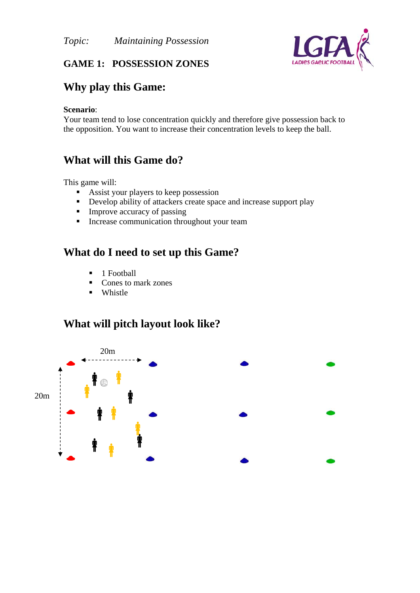

### **GAME 1: POSSESSION ZONES**

# **Why play this Game:**

#### **Scenario**:

Your team tend to lose concentration quickly and therefore give possession back to the opposition. You want to increase their concentration levels to keep the ball.

# **What will this Game do?**

This game will:

- Assist your players to keep possession
- Develop ability of attackers create space and increase support play
- **Improve accuracy of passing**
- **Increase communication throughout your team**

# **What do I need to set up this Game?**

- **1** Football
- Cones to mark zones
- **u** Whistle

## **What will pitch layout look like?**

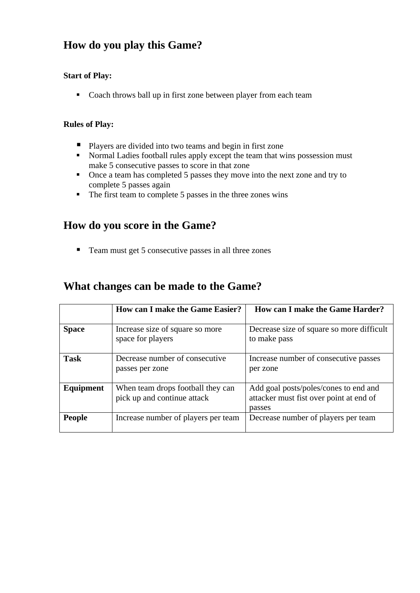# **How do you play this Game?**

#### **Start of Play:**

Coach throws ball up in first zone between player from each team

#### **Rules of Play:**

- **Players are divided into two teams and begin in first zone**
- Normal Ladies football rules apply except the team that wins possession must make 5 consecutive passes to score in that zone
- Once a team has completed 5 passes they move into the next zone and try to complete 5 passes again
- The first team to complete 5 passes in the three zones wins

## **How do you score in the Game?**

■ Team must get 5 consecutive passes in all three zones

## **What changes can be made to the Game?**

|               | <b>How can I make the Game Easier?</b>                           | <b>How can I make the Game Harder?</b>                                                     |
|---------------|------------------------------------------------------------------|--------------------------------------------------------------------------------------------|
| <b>Space</b>  | Increase size of square so more<br>space for players             | Decrease size of square so more difficult<br>to make pass                                  |
| <b>Task</b>   | Decrease number of consecutive<br>passes per zone                | Increase number of consecutive passes<br>per zone                                          |
| Equipment     | When team drops football they can<br>pick up and continue attack | Add goal posts/poles/cones to end and<br>attacker must fist over point at end of<br>passes |
| <b>People</b> | Increase number of players per team                              | Decrease number of players per team                                                        |